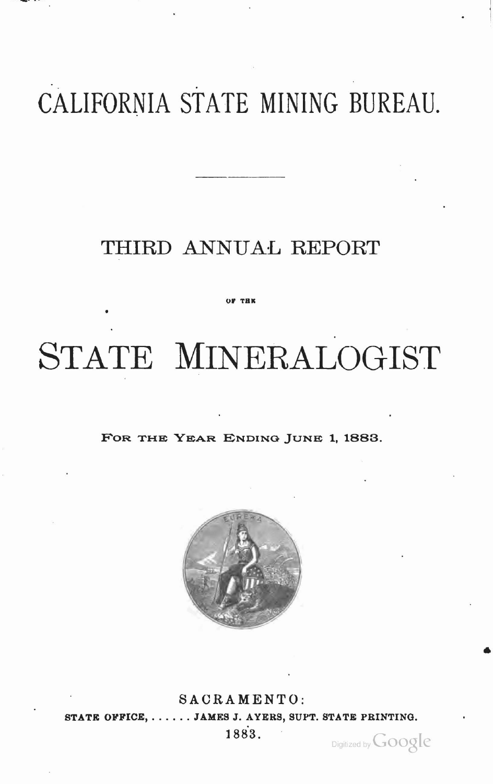## CALIFORNIA STATE MINING BUREAU.

### THIRD ANNUAL REPORT

# STATE MINERALOGIST

FOR THE YEAR ENDING JUNE 1, 1883.



SACRAMENTO: STATE OFFICE, ...... JAMES J. AYERS, SUPT. STATE PRINTING. 1883.

Digitized by Google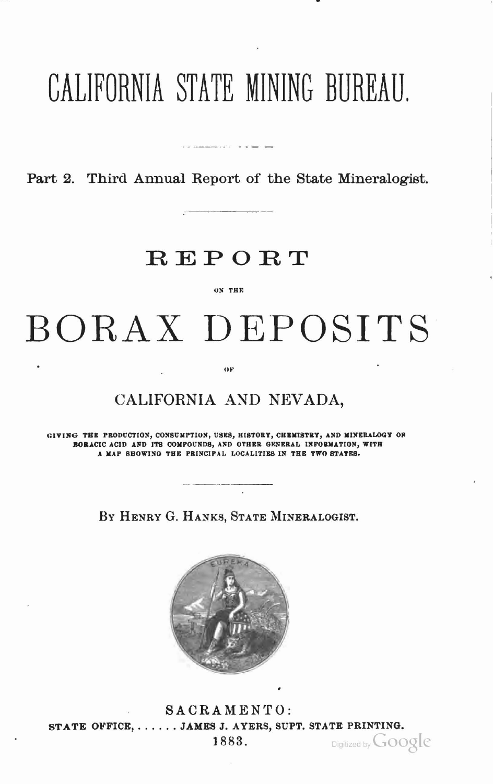## CALIFORNIA STATE MINING BUREAU.

Part 2. Third Annual Report of the State Mineralogist.

## **REPORT**

#### ON THE

BORAX DEPOSITS

#### $O<sub>F</sub>$

### CALIFORNIA AND NEVADA,

GIVING THE PRODUCTION, CONSUMPTION, USES, HISTORY, CHEMISTRY, AND MINERALOGY OR BORACIC ACID AND ITS COMPOUNDS, AND OTHER GENERAL INFORMATION, WITH A MAP SHOWING THE PRINCIPAL LOCALITIES IN THE TWO STATES.

BY HENRY G. HANKS, STATE MINERALOGIST.



SACRAMENTO: STATE OFFICE, ...... JAMES J. AYERS, SUPT. STATE PRINTING. 1883. Digitized by **GOOQIC**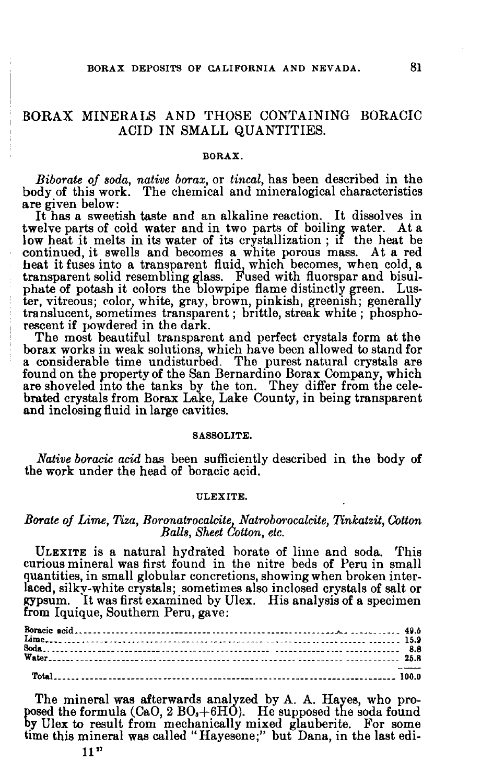### BORAX MINERALS AND THOSE CONTAINING BORACIC ACID IN SMALL QUANTITIES.

#### BORAX.

*Biborate of soda, native borax,* or *tineal,* has been described in the body of this work. The chemical and mineralogical characteristics are given below:

It has a sweetish taste and an alkaline reaction. It dissolves in twelve parts of cold water and in two parts of boiling water. At a low heat it melts in its water of its crystallization; if the heat be continued, it swells and becomes a white porous mass. At a red heat it fuses into a transparent fluid, which becomes, when cold, a transparent solid resembling glass. Fused with fluorspar and bisulphate of potash it colors the blowpipe flame distinctly green. Lustranslucent, sometimes transparent; brittle, streak white; phosphorescent if powdered in the dark.

The most beautiful transparent and perfect crystals form at the borax works in weak solutions, which have been allowed to stand for a considerable time undisturbed. The purest natural crystals are found on the property of the San Bernardino Borax Company, which are shoveled into the tanks by the ton. They differ from the celebrated crystals from Borax Lake} Lake County, in being transparent and inclosing fluid in large cavitieS.

#### SABBOLITE.

*Native boracic acid* has been sufficiently described in the body of the work under the head of boracic acid.

#### ULEXITE.

#### **Borate** of *Lime, Tiza, Boronatrocalcite, Natroborocalcite, Tinkatzit, Cotton*  $Balls, Sheet$  *Cotton, etc.*

ULEXITE is a natural hydra'ted horate of lime and soda. This curious mineral was first found in the nitre beds of Peru in small guantities, in small globular concretions, showing when broken interlaced, silky-white crystals; sometimes also inclosed crystals of salt or gypsum. It was first examined by Ulex. His analysis of a specimen from Iquique, Southern Peru, gave:

The mineral was afterwards analyzed by A. A. Hayes, who proposed the formula  $(CaO, 2 BO, +6HO)$ . He supposed the soda found by Ulex to result from mechanically mixed glauberite. For some time this mineral was called" Hayesene;" but Dana, in the last edi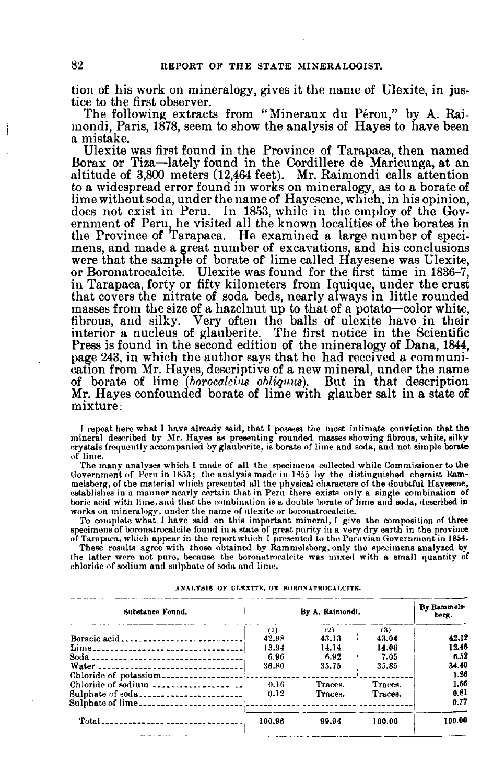tion of his work on mineralogy, gives it the name of Ulexite, in justice to the first observer.

The following extracts from "Mineraux du Pérou," by A. Raimondi, Paris, 1878, seem to show the analysis of Hayes to have been a mistake.

Ulexite was first found in the Province of Tarapaca, then named Borax or Tiza-Iately found in the Cordillere de Maricunga, at an altitude of 3,800 meters (12,464 feet). Mr. Raimondi calls attention to a widespread error found in works on mineralogy, as to a borate of lime without soda, under the name of Hayesene, which, in his opinion, does not exist in Peru. In 1853, while in the employ of the Government of Peru, he visited all the known localities of the borates in the Province of Tarapaca. He examined a large number of specimens, and made a great number of excavations, and his conclusions were that the sample of borate of lime called Hayesene was Ulexite, or Boronatrocalcite. Ulexite was found for the first time in 1836-7, in Tarapaca, forty or fifty kilometers from Iquique, under the crust that covers the nitrate of soda beds, nearly always in little rounded masses from the size of a hazelnut up to that of a potato-color white, fibrous, and silky. Very often the balls of ulexite have in their interior a nucleus of glauberite. The first notice in the Scientific Press is found in the second edition of the mineralogy of Dana, 1844, page 243, in which the author says that he had received a communication from Mr. Hayes, descriptive of a new mineral, under the name of borate of lime *(borocalcins ohliquus).* But in that description Mr. Hayes confounded borate of lime with glauber salt in a state of mixture:

I repeat here what I have already said, that I possess the most intimate conviction that the mineral described by Mr. Hayes as presenting rounded masses showing fibrous, white, silky<br>crystals frequently accompanied by glauberite, is borate of lime and soda, and not simple borate of lime.

The many analyses which I made of all the specimens collected while Commissioner to the Government of Peru in 1853; the analysis made in 1855 by the distinguished chemist Rammelsberg, of the material which presented all the physical characters of the doubtful Hayesene, establishes in a manner nearly certain that in Peru there exists only a single combination of boric acid with lime, and that the combination is a double borate of lime and soda, described in

works on mineralogy, under the name of ulexite or boronatrocalcite.<br>To complete what I have said on this important mineral, I give the composition of three specimens of boronatrocalcite found in a state of great purity in a very dry earth in the province<br>of Tarapaca, which appear in the report which I presented to the Peruvian Government in 1854.<br>These results agree with thos

the latter were not pure, because the boronatrocalcite was mixed with a small quantity of chloride of sodium and 8ulphate of soda and lime.

| Substance Found.                                                                                                                                                                                                                                                                                                                                                                                                                                                                                                                                                                                                                                                                        |                                             | By A. Raimondi.                        |                                        | By Rammels-<br>berg.                    |
|-----------------------------------------------------------------------------------------------------------------------------------------------------------------------------------------------------------------------------------------------------------------------------------------------------------------------------------------------------------------------------------------------------------------------------------------------------------------------------------------------------------------------------------------------------------------------------------------------------------------------------------------------------------------------------------------|---------------------------------------------|----------------------------------------|----------------------------------------|-----------------------------------------|
| Lime<br>Water                                                                                                                                                                                                                                                                                                                                                                                                                                                                                                                                                                                                                                                                           | $^{(1)}$<br>42.98<br>13.94<br>6.96<br>36.80 | (2)<br>43.13<br>14.14<br>6.92<br>35.75 | (3)<br>43.04<br>14.06<br>7.05<br>35.85 | 42.12<br>12.46<br>6.52<br>34.40<br>1.26 |
| Chloride of sodium ---------------------<br>Sulphate of soda                                                                                                                                                                                                                                                                                                                                                                                                                                                                                                                                                                                                                            | 0.16<br>0.12                                | Traces.<br>Traces.                     | Traces.<br>Traces.                     | 1.66<br>0.81<br>0.77                    |
| $\text{Total} \rightarrow \text{S} \rightarrow \text{S} \rightarrow \text{S} \rightarrow \text{S} \rightarrow \text{S} \rightarrow \text{S} \rightarrow \text{S} \rightarrow \text{S} \rightarrow \text{S} \rightarrow \text{S} \rightarrow \text{S} \rightarrow \text{S} \rightarrow \text{S} \rightarrow \text{S} \rightarrow \text{S} \rightarrow \text{S} \rightarrow \text{S} \rightarrow \text{S} \rightarrow \text{S} \rightarrow \text{S} \rightarrow \text{S} \rightarrow \text{S} \rightarrow \text{S} \rightarrow \text{S} \rightarrow \text{S} \rightarrow \text{S} \rightarrow \text{S} \rightarrow \text{S} \rightarrow \text{S} \rightarrow \text{S} \rightarrow \text{$ | 100.96                                      | 99.94                                  | 100.00                                 | 100.00                                  |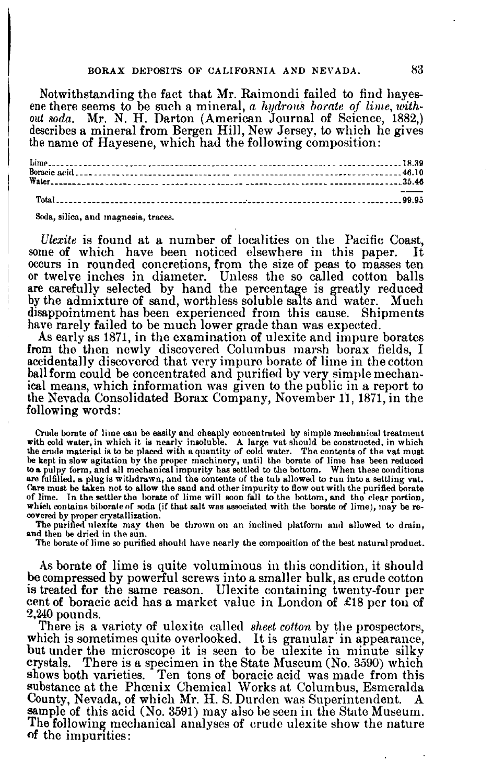#### BORAX DEPOSITS OF CALIFORNIA AND NEVADA. 83

Notwithstanding the fact that Mr. Raimondi failed to find hayesene there seems to be such a mineral, *a hydronis borate* of *lime*, *with*-Qut *soda.* Mr. N. H. Darton (American Journal of Science, 1882,) describes a mineral from Bergen Hill, New Jersey, to which he gives the name of Hayesene, which had the following composition:

Limp • 18.~9 Borncic acid • \_\_ • • .46.10 Waler • • \_\_ • 35.45 TotaL • \_\_ • . • \_ 99.95

Soda, silica, and magnesia, traces.

*Ulexite* is found at a number of localities on the Pacific Coast, me of which have been noticed elsewhere in this paper. It some of which have been noticed elsewhere in this paper. occurs in rounded concretions, from the size of peas to masses ten or twelve inches in diameter. Unless the so called cotton balls are carefully selected by hand the percentage is greatly reduced by the admixture of sand, worthless soluble salts and water. Much disappointment has been experienced from this cause. Shipments have rarely failed to be much lower grade than was expected.

As early as 1871, in the examination of ulexite and impure borates from the then newly discovered Columbus marsh borax fields, I accidentally discovered that very impure borate of lime in the cotton ballform could be concentrated and purified by very simple mechanical means, which information was given to the public in a report to the Nevada. Consolidated Borax Company, November 11, 1871, in the following words:

Crude borate of lime can be easily and cheaply concentrated by simple mechanical treatment<br>with cold water, in which it is nearly insoluble. A large vat should be constructed, in which<br>the crude material is to be placed wi be kept in slow agitation by the proper machinery, until the borate of lime has been reduced to a pulpy form, and all mechanical impurity has settled to the bottom. When these conditions are fulfilled, a plug is withdrawn, Care must be taken not to allow the sand and other impurity to flow out with the purified borate of lime. In the settler the borate of lime will soon fall to the bottom, and the clear portion, which contains biborate of soda (if that salt was associated with the borate of lime), may be rewhich contains biborate of soda (if that salt was associated with the borate of lime), may be re-<br>covered by proper crystallization.<br>The purified ulexite may then be thrown on an inclined platform and allowed to drain,

and then be dried in the sun.<br>The borate of lime so purified should have nearly the composition of the best natural product.

As borate of lime is quite voluminous in this condition, it should be compressed by powerful screws into a smaller bulk, as crude cotton is treated for the same reason. Ulexite containing twenty-four per cent of boracic acid has a market value in London of £18 per ton of 2,240 pounds.

There is a variety of ulexite called *sheet cotton* by the prospectors, which is sometimes quite overlooked. It is granular in appearance, but under the microscope it is seen to be ulexite in minute silky crystals. There is a specimen in the State Museum (No. 3590) which shows both varieties. Ten tons of boracic acid was made from this substance at the Phœnix Chemical Works at Columbus, Esmeralda County, Nevada, of which Mr. H. S. Durden was Superintendent. sample of this acid (No. 3591) may also be seen in the State Museum. The following mechanical analyses of crude ulexite show the nature of the impurities: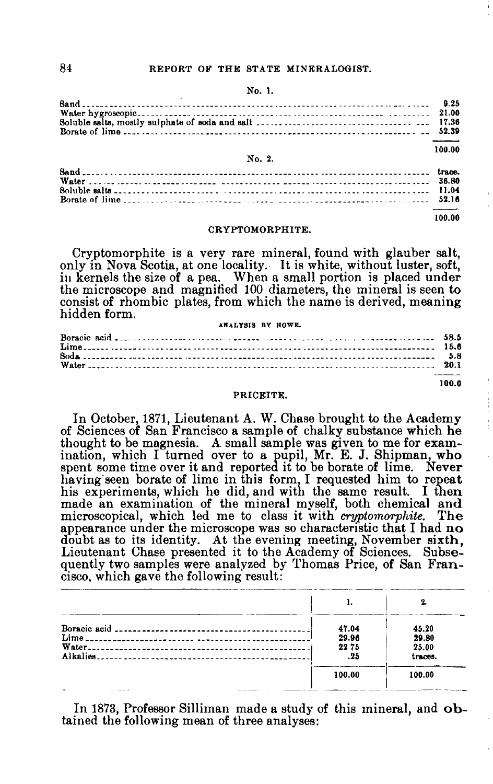#### 84 REPORT OF THE STATE MINERALOGIST.

#### No. 1.

|        | 100.00 |
|--------|--------|
| No. 2. |        |
|        |        |
|        |        |
|        |        |
|        |        |

CRYPTOMORPHITE.

100.00

100.0

Cryptomorphite is a very rare mineral, found with glauber salt, only in Nova Scotia, at one locality. It is white, without luster, soft, in kernels the size of a pea. When a small portion is placed under the microscope and magnified 100 diameters, the mineral is seen to consist of rhombic plates, from which the name is derived, meaning hidden form.

#### AMALTSIS BT HOWK.

| ANALYSIS BY HOWE. |  |
|-------------------|--|
|                   |  |
|                   |  |
|                   |  |
|                   |  |
|                   |  |

#### PRICEITE.

In October, 1871, Lieutenant A. W. Chase brought to the Academy of Sciences of San Francisco <sup>a</sup> sample of chalky substance which he thought to be magnesia. A small sample was given to me for examination, which I turned over to a pupil, Mr. E. J. Shipman, who spent some time over it and reported it to be borate of lime. Never having seen borate of lime in this form, I requested him to repeat his experiments, which he did, and with the same result. I then made an examination of the mineral myself, both chemical and microscopical, which led me to class it with *cryptomorphite*. The appearance under the microscope was so characteristic that I had no doubt as to its identity. At the evening meeting, November sixth, Lieutenant Chase presented it to the Academy of Sciences. Subsequently two samples were analyzed by Thomas Price, of San Francisco, which gave the following result: cisco, which gave the following result:

|                                   |        | 2.      |
|-----------------------------------|--------|---------|
|                                   | 47.04  | 45.20   |
|                                   | 29.96  | 29.80   |
|                                   | 2275   | 25.00   |
|                                   | .25    | traces. |
|                                   | 100.00 | 100.00  |
| the company of the company of the |        |         |

In 1873, Professor Silliman made a study of this mineral, and obtained the following mean of three analyses: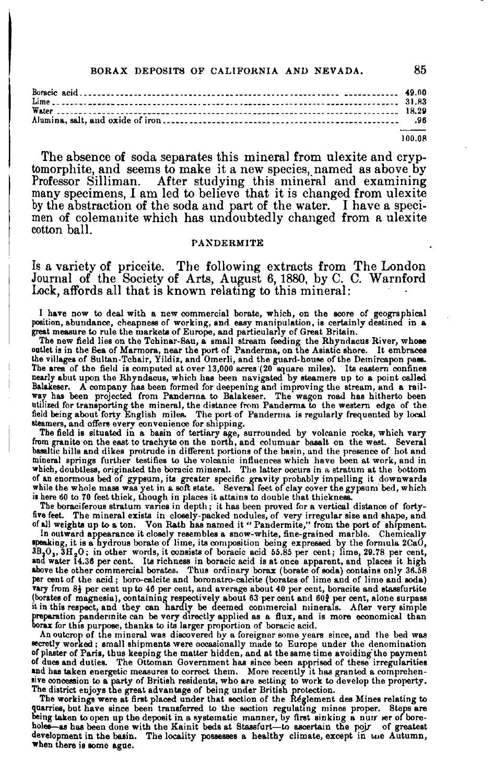#### BORAX DEPOSITS OF CALIFORNIA AND NEVADA. 85

100.OR

The absence of soda separates this mineral from ulexite and cryptomorphite, and seems to make it a new species, named as above by Professor Silliman. After studying this mineral and examining many specimens, I am led to believe that it is changed from ulexite by the abstraction of the soda and part of the water. I have a specimen of colemanite which has undoubtedly changed from a ulexite cotton ball.

#### PAXDERMITE

Is a variety of priceite. The following extracts from The London Journal of the Society of Arts, August 6,1880, by C. C. Warnford Lock, affords all that is known relating to this mineral:

I have now to deal with a new commercial borate, which, on the score of geographical position, abundance, cheapness of working, and easy manipulation, is certainly destined in a position, abundance, cheapness of working, and easy manipulation, is certainly destined in a<br>great measure to rule the markets of Europe, and particularly of Great Britain.<br>The new field lies on the Tchinar-Sau, a small st

outlet is in the Sea of Marmora, near the port of Panderma, on the Asiatic shore. It embraces<br>the villages of Bultan-Tchair, Yildiz, and Omerli, and the guard-house of the Demircapon pass. The area of the field is computed at over 13,000 acres (20 square miles). Its eastern confines<br>nearly abut upon the Rhyndacus, which has been navigated by steamers up to a point called Balakeser. A company has been formed for deepening and improving the stream, and a rail-<br>way has been projected from Panderma to Balakeser. The wagon road has hitherto been utilized for transporting the mineral, the distance from Panderma to the western edge of the<br>field being about forty English miles. The port of Panderma is regularly frequented by local steamers, and offers every convenience for shipping.

The field is situated in a basin of tertiary age, surrounded by volcanic rocks, which vary<br>from granite on the east to trachyte on the north, and columnar basalt on the west. Several basaltic hills and dikes protrude in different portions of the basin, and the presence of hot and mineral springs further testifies to the volcanic influences which have been at work, and in<br>which, doubtless, originated the boracic mineral. The latter occurs in a stratum at the bottom of an enormous bed of gypsum, its greater specific gravity probably impelling it downwards<br>while the whole mass was yet in a soft state. Several feet of clay cover the gypsum bed, which is here 60 to 70 feet thick, though in places it attains to double that thickness

The boraciferous stratum varies in depth; it has been proved for a vertical distance of fortyfive feet. The mineral exists in closely-packed nodules, of very irregular size and shape, and<br>of all weights up to a ton. Von Rath has named it "Pandermite," from the port of shipment.

In outward appearance it closely resembles a snow-white, fine-grained marble. Chemically posking, it is a hydrous borate of lime, its composition being expressed by the formula 2CaO,  $3B_2O_3$ ,  $3H_2O$ ; in other words, it vary from 81 per cent up to 46 per cent, and average about 40 per cent, boracite and stassfurtite (borates of magnesia), containing respectively about 63 per cent and 60? per cent, alone surpass<br>it in this respect, and they can hardly be deemed commercial minerals. After very simple preparation pandermite can be very directly applied as a flux, and is more economical than<br>borax for this purpose, thanks to its larger proportion of boracic acid.

An outcrop of the mineral was discovered by a foreigner some years since, and the bed was secretly worked; small shipments were occasionally made to Europe under the denomination of plaster of Paris, thus keeping the matter hidden, and at the same time avoiding the payment of dues and duties. The Ottoman Government has since been apprised of these irregularities and has taken energetic measures to correct them. More recently it has granted a comprehensive concession to a party of British residents, who are setting to work to develop the property.

The district enjoys the great advantage of being under British protection.<br>The workings were at first placed under that section of the Reglement des Mines relating to quarries, but have since been transferred to the section regulating mines proper. Steps are being taken to open up the deposit in a systematic manner, by first sinking a nuir ser of boreholes—as has been done with the Kainit beds at Stassfurt—to ascertain the poir of greatest development in the basin. The locality possesses a healthy climate, except in the Autumn, when there is some ague.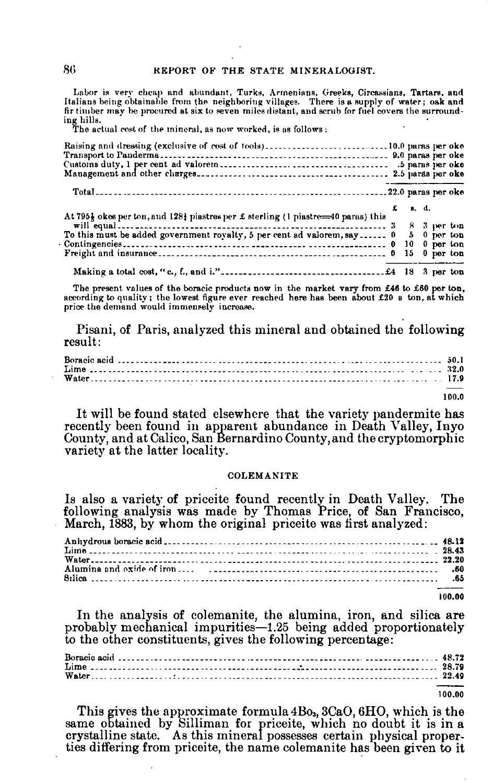Labor is very cheap and abundant, Turks, Armenians, Greeks, Circassians, Tartars, and Italians being obtainable from the neighboring villages. There is a supply of water; oak and fir timber may be procured at six to seven miles distant, and scrub for fuel covers the surrounding hills.<br>The actual cost of the mineral, as now worked, is as follows :

|                                                                                                                                                                 | $f = g \cdot d.$ |  |  |
|-----------------------------------------------------------------------------------------------------------------------------------------------------------------|------------------|--|--|
| At 795} okes per ton, and 128} piastres per £ sterling (1 piastre=40 paras) this                                                                                |                  |  |  |
| will equal $\ldots$ $\ldots$ $\ldots$ $\ldots$ $\ldots$ $\ldots$ $\ldots$ $\ldots$ $\ldots$ $\ldots$ $\ldots$ $\ldots$ $\ldots$ $\ldots$ 3 $\ldots$ 8 3 per ton |                  |  |  |
| To this must be added government royalty, 5 per cent ad valorem, say  0 5 0 per ton                                                                             |                  |  |  |
|                                                                                                                                                                 |                  |  |  |
|                                                                                                                                                                 |                  |  |  |
|                                                                                                                                                                 |                  |  |  |

The present values of the boracic products now in the market vary from £46 to £60 per ton, according to quality; the lowest figure ever reached here has been about  $\pounds 20$  a ton, at which price the demand would immensely increase.

Pisani, of Paris, analyzed this mineral and obtained the following result:

100.0

It will be found stated elsewhere that the variety pandermite has recently been found in apparent abundance in Death Valley, Inyo County, and at Calico, San Bernardino County, and the cryptomorphic variety at the latter locality.

#### COLEMANITE

Is also a variety of priceite found recently in Death Valley. The following analysis was made by Thomas Price, of San Francisco, March, 1883, by whom the original price ite was first analyzed:

| Water |  |
|-------|--|
|       |  |
|       |  |
|       |  |

100.00

In the analysis of colemanite, the alumina, iron, and silica are probably mechanical impurities-1.25 being added proportionately to the other constituents, gives the following percentage:

100.00

This gives the approximate formula  $4B_0$ ,  $3CaO, 6HO$ , which is the same obtained by Silliman for priceite, which no doubt it is in a crystalline state. As this mineral possesses certain physical properties differing from priceite, the name colemanite has been given to it

86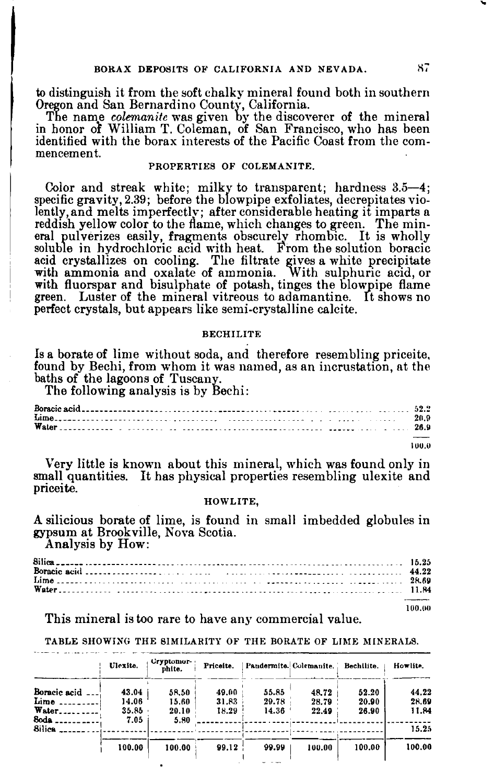to distinguish it from the soft chalky mineral found both in southern Oregon and San Bernardino County, California.

The name *colemanite* was given by the discoverer of the mineral in honor of William T. Coleman, of San Francisco, who has been identified with the borax interests of the Pacific Coast from the commencement.

#### PROPERTIES OF COLEMANITE.

Color and streak white; milky to transparent; hardness 3.5-4; specific gravity, 2.39; before the blowpipe exfoliates, decrepitates violently,and melts imperfectly; after considerable heating it imparts a reddish yellow color to the flame, which changes to green. The min-<br>eral pulverizes easily, fragments obscurely rhombic. It is wholly soluble in hydrochloric acid with heat. From the solution boracic acid crystallizes on cooling. The filtrate gives a white precipitate with ammonia and oxalate of ammonia. With sulphuric acid, or with fluorspar and bisulphate of potash, tinges the blowpipe flame green. Luster of the mineral vitreous to adamantine. It shows no perfect crystals, but appears like semi-crystalline calcite.

#### **BECHILITE**

Is a borate of lime without soda, and therefore resembling priceite. found by Bechi, from whom it was named, as an incrustation, at the baths of the lagoons of Tuscany.

The following analysis is by Bechi:

| Water $\frac{1}{26.9}$ |       |
|------------------------|-------|
|                        | 100.0 |

Very little is known about this mineral, which was found only in small quantities. It has physical properties resembling ulexite and priceite.

#### HOWLITE,

A silicious borate of lime, is found in small imbedded globules in gypsum at Brookville, Nova Scotia. Analysis by How:

100.00

This mineral is too rare to have any commercial value.

TABLE SHOWING THE SIMILARITY OF THE BORATE OF LIME MINERALS.

|              | Ulexite. | Cryptomor-<br>phite. | Priceite. |       | Pandermite. Colemanite. | Bechilite. | Howlite. |
|--------------|----------|----------------------|-----------|-------|-------------------------|------------|----------|
| Boracic acid | 43.04    | 58.50                | 49.00     | 55.85 | 48.72                   | 52.20      | 44.22    |
| Lime.        | 14.06    | 15.60                | 31.83     | 29.78 | 28.79                   | 20.90      | 28.69    |
| Water.       | 35.85    | 20.10                | 18.29     | 14.36 | 22.49                   | 26.90      | 11.84    |
| Soda         | 7.05     | 5.80                 |           |       |                         |            |          |
| Silica       |          |                      |           |       |                         |            | 15.25    |
|              | 100.00   | 100.00               | 99.12     | 99.99 | 100.00                  | 100.00     | 100.00   |
|              |          |                      |           |       |                         |            |          |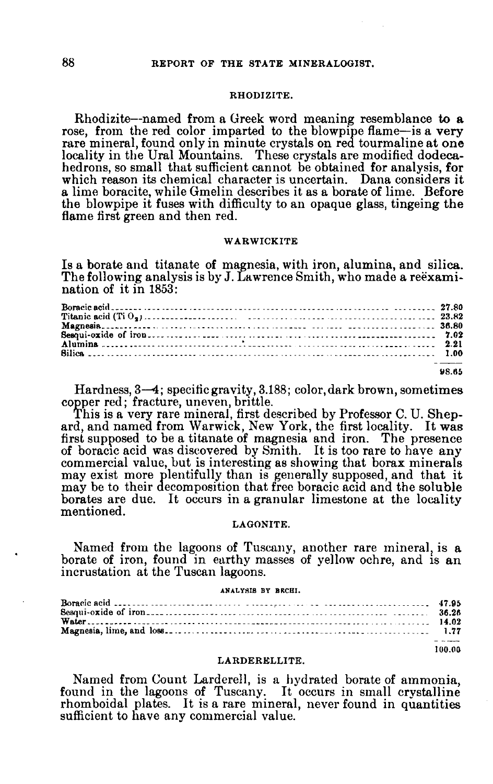#### 88 REPORT OF THE STATE MINERALOGIST.

#### RHODIZITE.

Rhodizite--named from a Greek word meaning resemblance to a rose, from the red color imparted to the blowpipe flame-is a very rare mineral, found only in minute crystals on red tourmaline at one locality in the Ural Mountains. These crystals are modified dodecahedrons, so small that sufficient cannot be obtained for analysis, for which reason its chemical character is uncertain. Dana considers it a lime boracite, while Gmelin describes it as a borate of lime. Before the blowpipe it fuses with difficulty to an opaque glass, tingeing the flame first green and then red.

#### **WARWICKITE**

Is a borate and titanate of magnesia, with iron, alumina, and silica. The following analysis is by J. Lawrence Smith, who made a reexamination of it in 1853:

| Alumina $\cdots$ |  |  |
|------------------|--|--|
|                  |  |  |
|                  |  |  |

98.65

Hardness, 3-4; specific gravity, 3.188; color, dark brown, sometimes copper red; fracture, uneven, brittle.

This is a very rare mineral, first described by Professor C. U. Shepard, and named from Warwick, New York, the first locality. It was first supposed to be a titanate of magnesia and iron. The presence of boracic acid was discovered by Smith. It is too rare to have any commercial value, but is interesting as showing that borax minerals may exist more plentifully than is generally supposed, and that it may be to their decomposition that free boracic acid and the soluble borates are due. It occurs in a granular limestone at the locality mentioned.

#### LAGONITE.

Named from the lagoons of Tuscany, another rare mineral, is a borate of iron, found in earthy masses of yellow ochre, and is an incrustation at the Tuscan lagoons.

#### ANALYSIS BY BKCBI.

| ANALIAIS BY BRUBL. |        |
|--------------------|--------|
|                    |        |
|                    |        |
|                    |        |
|                    |        |
|                    | 100.00 |

#### LARDERELLITE.

Named from Count Larderell, is a hydrated borate of ammonia, found in the lagoons of Tuscany. It occurs in small crystalline rhomboidal plates. It is a rare mineral, never found in quantities sufficient to have any commercial value.